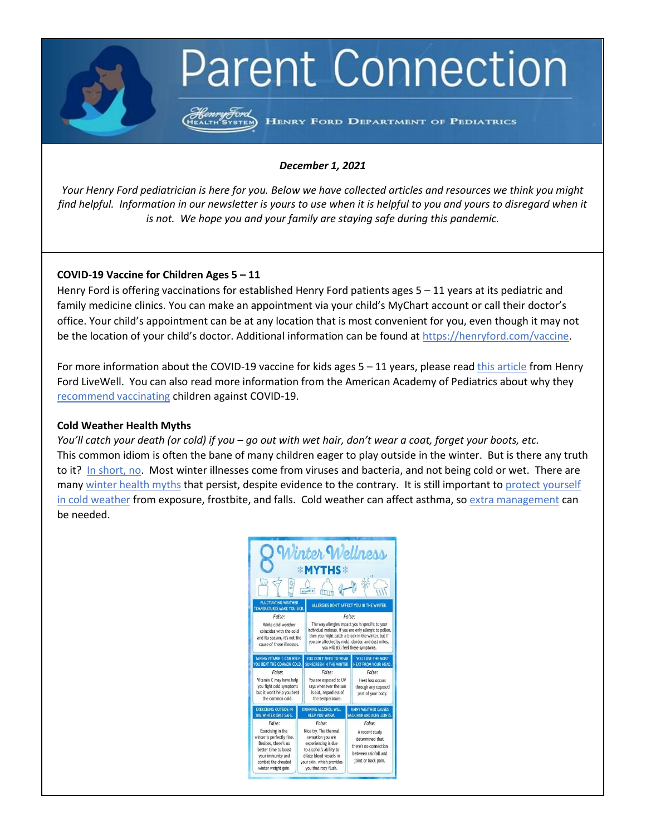# **Parent Connection**

Henry Ford<br>HEALTH SYSTEM HENRY FORD DEPARTMENT OF PEDIATRICS

## *December 1, 2021*

*Your Henry Ford pediatrician is here for you. Below we have collected articles and resources we think you might find helpful. Information in our newsletter is yours to use when it is helpful to you and yours to disregard when it is not. We hope you and your family are staying safe during this pandemic.*

## **COVID-19 Vaccine for Children Ages 5 – 11**

Henry Ford is offering vaccinations for established Henry Ford patients ages 5 – 11 years at its pediatric and family medicine clinics. You can make an appointment via your child's MyChart account or call their doctor's office. Your child's appointment can be at any location that is most convenient for you, even though it may not be the location of your child's doctor. Additional information can be found a[t https://henryford.com/vaccine.](https://urldefense.com/v3/__https:/henryford.com/vaccine__;!!PFzsKvxRBh-H!IQ5px6MBvd1F1QAR41vRzDQZBbxgBcY0t9gxPUEz8-xczAsdOVtmra2HZYdG2QTX$)

For more information about the COVID-19 vaccine for kids ages  $5 - 11$  years, please rea[d this article](https://www.henryford.com/blog/2021/11/kids-5-to-11-covid-vaccine) from Henry Ford LiveWell. You can also read more information from the American Academy of Pediatrics about why they [recommend vaccinating](https://healthychildren.org/English/tips-tools/ask-the-pediatrician/Pages/when-can-children-get-the-COVID-19-vaccine.aspx) children against COVID-19.

#### **Cold Weather Health Myths**

*You'll catch your death (or cold) if you – go out with wet hair, don't wear a coat, forget your boots, etc.*  This common idiom is often the bane of many children eager to play outside in the winter. But is there any truth to it? [In short, no.](https://www.healthline.com/health/does-cold-weather-make-you-sick) Most winter illnesses come from viruses and bacteria, and not being cold or wet. There are many [winter health myths](https://www.henryford.com/blog/2017/02/6-winter-health-myths) that persist, despite evidence to the contrary. It is still important to protect yourself [in cold weather](https://www.mayoclinichealthsystem.org/hometown-health/speaking-of-health/smart-decisions-improve-your-winter-health) from exposure, frostbite, and falls. Cold weather can affect asthma, so [extra management](https://health.clevelandclinic.org/how-to-manage-winter-asthma/) can be needed.

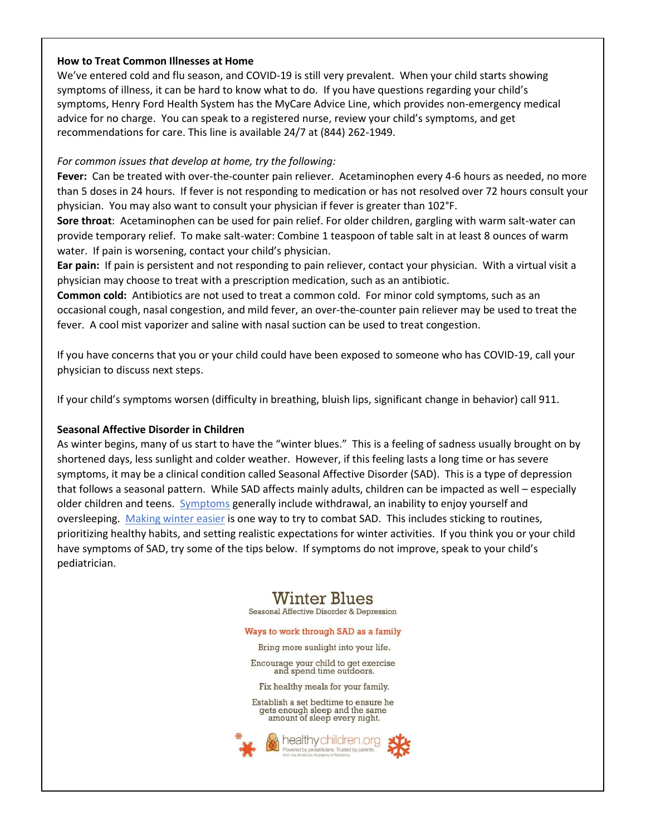## **How to Treat Common Illnesses at Home**

We've entered cold and flu season, and COVID-19 is still very prevalent. When your child starts showing symptoms of illness, it can be hard to know what to do. If you have questions regarding your child's symptoms, Henry Ford Health System has the MyCare Advice Line, which provides non-emergency medical advice for no charge. You can speak to a registered nurse, review your child's symptoms, and get recommendations for care. This line is available 24/7 at (844) 262-1949.

## *For common issues that develop at home, try the following:*

**Fever:** Can be treated with over-the-counter pain reliever. Acetaminophen every 4-6 hours as needed, no more than 5 doses in 24 hours. If fever is not responding to medication or has not resolved over 72 hours consult your physician. You may also want to consult your physician if fever is greater than 102°F.

**Sore throat**: Acetaminophen can be used for pain relief. For older children, gargling with warm salt-water can provide temporary relief. To make salt-water: Combine 1 teaspoon of table salt in at least 8 ounces of warm water. If pain is worsening, contact your child's physician.

**Ear pain:** If pain is persistent and not responding to pain reliever, contact your physician. With a virtual visit a physician may choose to treat with a prescription medication, such as an antibiotic.

**Common cold:** Antibiotics are not used to treat a common cold. For minor cold symptoms, such as an occasional cough, nasal congestion, and mild fever, an over-the-counter pain reliever may be used to treat the fever. A cool mist vaporizer and saline with nasal suction can be used to treat congestion.

If you have concerns that you or your child could have been exposed to someone who has COVID-19, call your physician to discuss next steps.

If your child's symptoms worsen (difficulty in breathing, bluish lips, significant change in behavior) call 911.

# **Seasonal Affective Disorder in Children**

As winter begins, many of us start to have the "winter blues." This is a feeling of sadness usually brought on by shortened days, less sunlight and colder weather. However, if this feeling lasts a long time or has severe symptoms, it may be a clinical condition called Seasonal Affective Disorder (SAD). This is a type of depression that follows a seasonal pattern. While SAD affects mainly adults, children can be impacted as well – especially older children and teens. [Symptoms](https://www.healthychildren.org/English/health-issues/conditions/emotional-problems/Pages/Winter-Blues-Seasonal-Affective-Disorder-and-Depression.aspx) generally include withdrawal, an inability to enjoy yourself and oversleeping. [Making winter easier](https://childmind.org/article/seasonal-affective-disorder/) is one way to try to combat SAD. This includes sticking to routines, prioritizing healthy habits, and setting realistic expectations for winter activities. If you think you or your child have symptoms of SAD, try some of the tips below. If symptoms do not improve, speak to your child's pediatrician.

# **Winter Blues**

Seasonal Affective Disorder & Depression

#### Ways to work through SAD as a family

Bring more sunlight into your life.

Encourage your child to get exercise<br>and spend time outdoors.

Fix healthy meals for your family.

Establish a set bedtime to ensure he gets enough sleep and the same<br>amount of sleep every night.